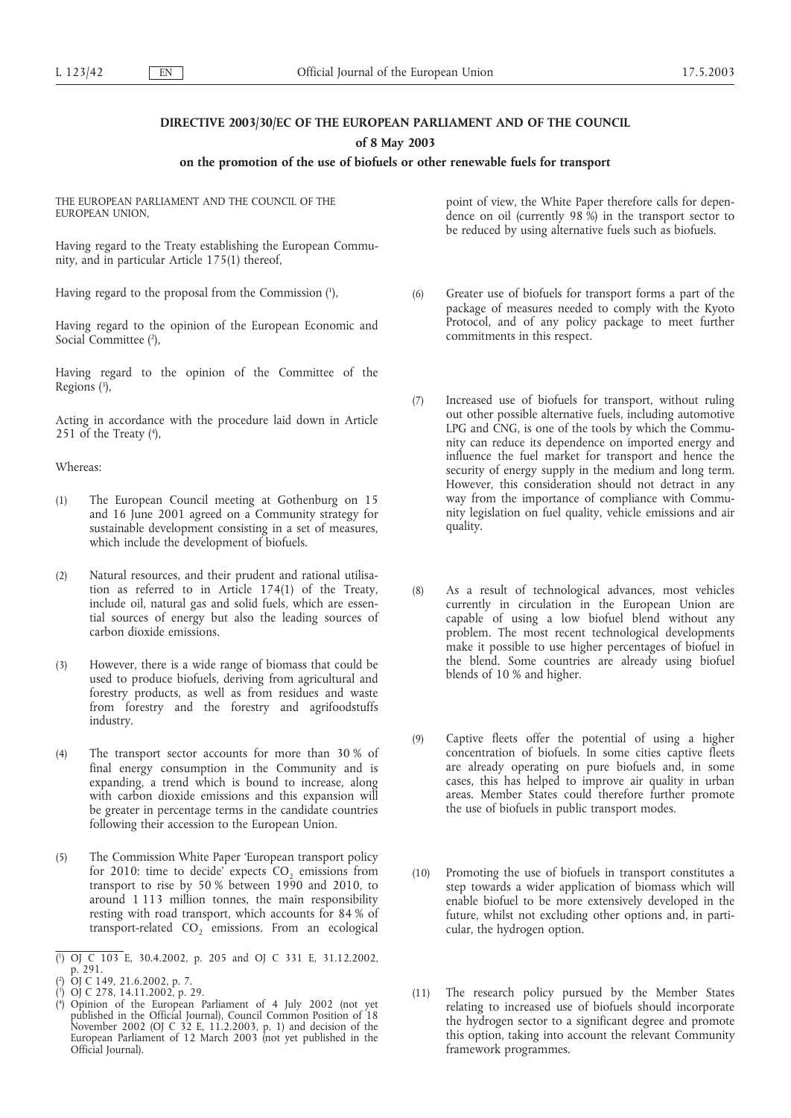# **DIRECTIVE 2003/30/EC OF THE EUROPEAN PARLIAMENT AND OF THE COUNCIL**

**of 8 May 2003**

#### **on the promotion of the use of biofuels or other renewable fuels for transport**

THE EUROPEAN PARLIAMENT AND THE COUNCIL OF THE EUROPEAN UNION,

Having regard to the Treaty establishing the European Community, and in particular Article 175(1) thereof,

Having regard to the proposal from the Commission (1 ),

Having regard to the opinion of the European Economic and Social Committee (2),

Having regard to the opinion of the Committee of the Regions (3),

Acting in accordance with the procedure laid down in Article 251 of the Treaty  $(4)$ ,

### Whereas:

- (1) The European Council meeting at Gothenburg on 15 and 16 June 2001 agreed on a Community strategy for sustainable development consisting in a set of measures, which include the development of biofuels.
- (2) Natural resources, and their prudent and rational utilisation as referred to in Article 174(1) of the Treaty, include oil, natural gas and solid fuels, which are essential sources of energy but also the leading sources of carbon dioxide emissions.
- (3) However, there is a wide range of biomass that could be used to produce biofuels, deriving from agricultural and forestry products, as well as from residues and waste from forestry and the forestry and agrifoodstuffs industry.
- (4) The transport sector accounts for more than 30 % of final energy consumption in the Community and is expanding, a trend which is bound to increase, along with carbon dioxide emissions and this expansion will be greater in percentage terms in the candidate countries following their accession to the European Union.
- (5) The Commission White Paper 'European transport policy for 2010: time to decide' expects  $CO<sub>2</sub>$  emissions from transport to rise by 50 % between 1990 and 2010, to around 1 113 million tonnes, the main responsibility resting with road transport, which accounts for 84 % of transport-related  $CO<sub>2</sub>$  emissions. From an ecological

( 3 ) OJ C 278, 14.11.2002, p. 29.

point of view, the White Paper therefore calls for dependence on oil (currently 98 %) in the transport sector to be reduced by using alternative fuels such as biofuels.

- (6) Greater use of biofuels for transport forms a part of the package of measures needed to comply with the Kyoto Protocol, and of any policy package to meet further commitments in this respect.
- (7) Increased use of biofuels for transport, without ruling out other possible alternative fuels, including automotive LPG and CNG, is one of the tools by which the Community can reduce its dependence on imported energy and influence the fuel market for transport and hence the security of energy supply in the medium and long term. However, this consideration should not detract in any way from the importance of compliance with Community legislation on fuel quality, vehicle emissions and air quality.
- (8) As a result of technological advances, most vehicles currently in circulation in the European Union are capable of using a low biofuel blend without any problem. The most recent technological developments make it possible to use higher percentages of biofuel in the blend. Some countries are already using biofuel blends of 10 % and higher.
- (9) Captive fleets offer the potential of using a higher concentration of biofuels. In some cities captive fleets are already operating on pure biofuels and, in some cases, this has helped to improve air quality in urban areas. Member States could therefore further promote the use of biofuels in public transport modes.
- (10) Promoting the use of biofuels in transport constitutes a step towards a wider application of biomass which will enable biofuel to be more extensively developed in the future, whilst not excluding other options and, in particular, the hydrogen option.
- (11) The research policy pursued by the Member States relating to increased use of biofuels should incorporate the hydrogen sector to a significant degree and promote this option, taking into account the relevant Community framework programmes.

<sup>(</sup> 1 ) OJ C 103 E, 30.4.2002, p. 205 and OJ C 331 E, 31.12.2002, p. 291.

<sup>(</sup> 2 ) OJ C 149, 21.6.2002, p. 7.

<sup>(</sup> 4 ) Opinion of the European Parliament of 4 July 2002 (not yet published in the Official Journal), Council Common Position of 18 November 2002 (OJ C 32 E, 11.2.2003, p. 1) and decision of the European Parliament of 12 March 2003 (not yet published in the Official Journal).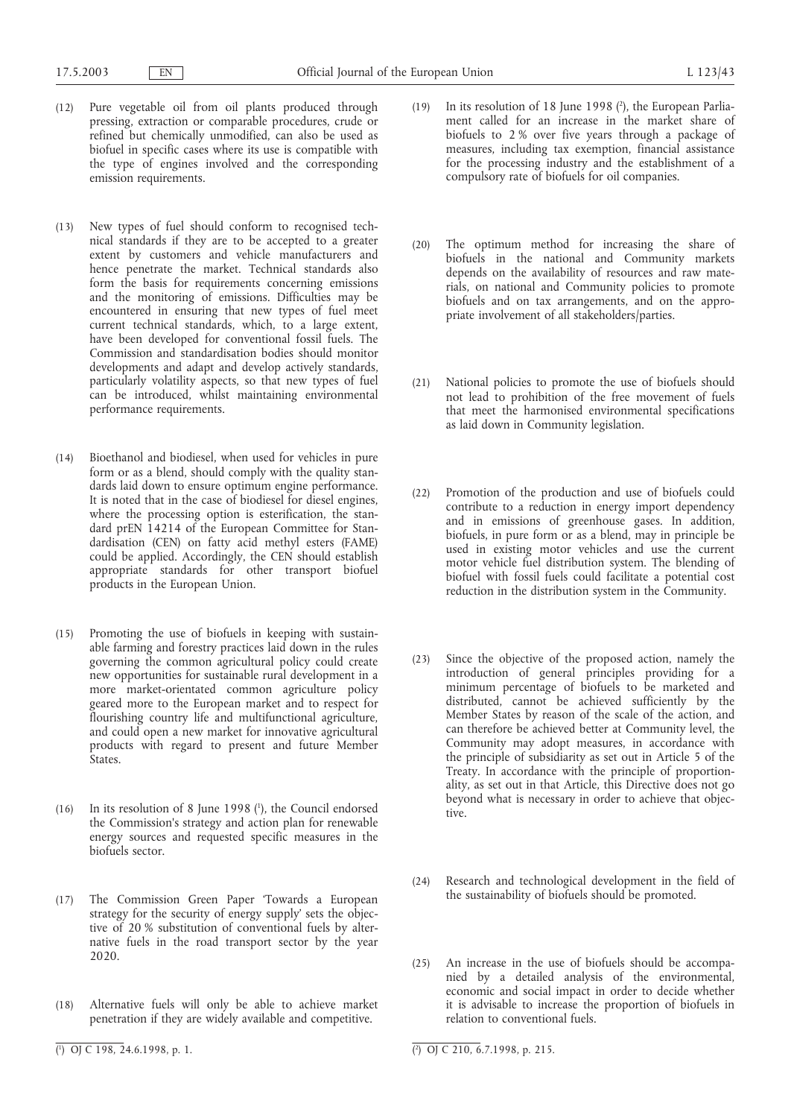- (12) Pure vegetable oil from oil plants produced through pressing, extraction or comparable procedures, crude or refined but chemically unmodified, can also be used as biofuel in specific cases where its use is compatible with the type of engines involved and the corresponding emission requirements.
- (13) New types of fuel should conform to recognised technical standards if they are to be accepted to a greater extent by customers and vehicle manufacturers and hence penetrate the market. Technical standards also form the basis for requirements concerning emissions and the monitoring of emissions. Difficulties may be encountered in ensuring that new types of fuel meet current technical standards, which, to a large extent, have been developed for conventional fossil fuels. The Commission and standardisation bodies should monitor developments and adapt and develop actively standards, particularly volatility aspects, so that new types of fuel can be introduced, whilst maintaining environmental performance requirements.
- (14) Bioethanol and biodiesel, when used for vehicles in pure form or as a blend, should comply with the quality standards laid down to ensure optimum engine performance. It is noted that in the case of biodiesel for diesel engines, where the processing option is esterification, the standard prEN 14214 of the European Committee for Standardisation (CEN) on fatty acid methyl esters (FAME) could be applied. Accordingly, the CEN should establish appropriate standards for other transport biofuel products in the European Union.
- (15) Promoting the use of biofuels in keeping with sustainable farming and forestry practices laid down in the rules governing the common agricultural policy could create new opportunities for sustainable rural development in a more market-orientated common agriculture policy geared more to the European market and to respect for flourishing country life and multifunctional agriculture, and could open a new market for innovative agricultural products with regard to present and future Member States.
- $(16)$  In its resolution of 8 June 1998 $(1)$ , the Council endorsed the Commission's strategy and action plan for renewable energy sources and requested specific measures in the biofuels sector.
- (17) The Commission Green Paper 'Towards a European strategy for the security of energy supply' sets the objective of 20 % substitution of conventional fuels by alternative fuels in the road transport sector by the year 2020.
- (18) Alternative fuels will only be able to achieve market penetration if they are widely available and competitive.
- (19) In its resolution of 18 June 1998 (2 ), the European Parliament called for an increase in the market share of biofuels to 2 % over five years through a package of measures, including tax exemption, financial assistance for the processing industry and the establishment of a compulsory rate of biofuels for oil companies.
- (20) The optimum method for increasing the share of biofuels in the national and Community markets depends on the availability of resources and raw materials, on national and Community policies to promote biofuels and on tax arrangements, and on the appropriate involvement of all stakeholders/parties.
- (21) National policies to promote the use of biofuels should not lead to prohibition of the free movement of fuels that meet the harmonised environmental specifications as laid down in Community legislation.
- (22) Promotion of the production and use of biofuels could contribute to a reduction in energy import dependency and in emissions of greenhouse gases. In addition, biofuels, in pure form or as a blend, may in principle be used in existing motor vehicles and use the current motor vehicle fuel distribution system. The blending of biofuel with fossil fuels could facilitate a potential cost reduction in the distribution system in the Community.
- (23) Since the objective of the proposed action, namely the introduction of general principles providing for a minimum percentage of biofuels to be marketed and distributed, cannot be achieved sufficiently by the Member States by reason of the scale of the action, and can therefore be achieved better at Community level, the Community may adopt measures, in accordance with the principle of subsidiarity as set out in Article 5 of the Treaty. In accordance with the principle of proportionality, as set out in that Article, this Directive does not go beyond what is necessary in order to achieve that objective.
- (24) Research and technological development in the field of the sustainability of biofuels should be promoted.
- (25) An increase in the use of biofuels should be accompanied by a detailed analysis of the environmental, economic and social impact in order to decide whether it is advisable to increase the proportion of biofuels in relation to conventional fuels.

<sup>2</sup> ) OJ C 210, 6.7.1998, p. 215.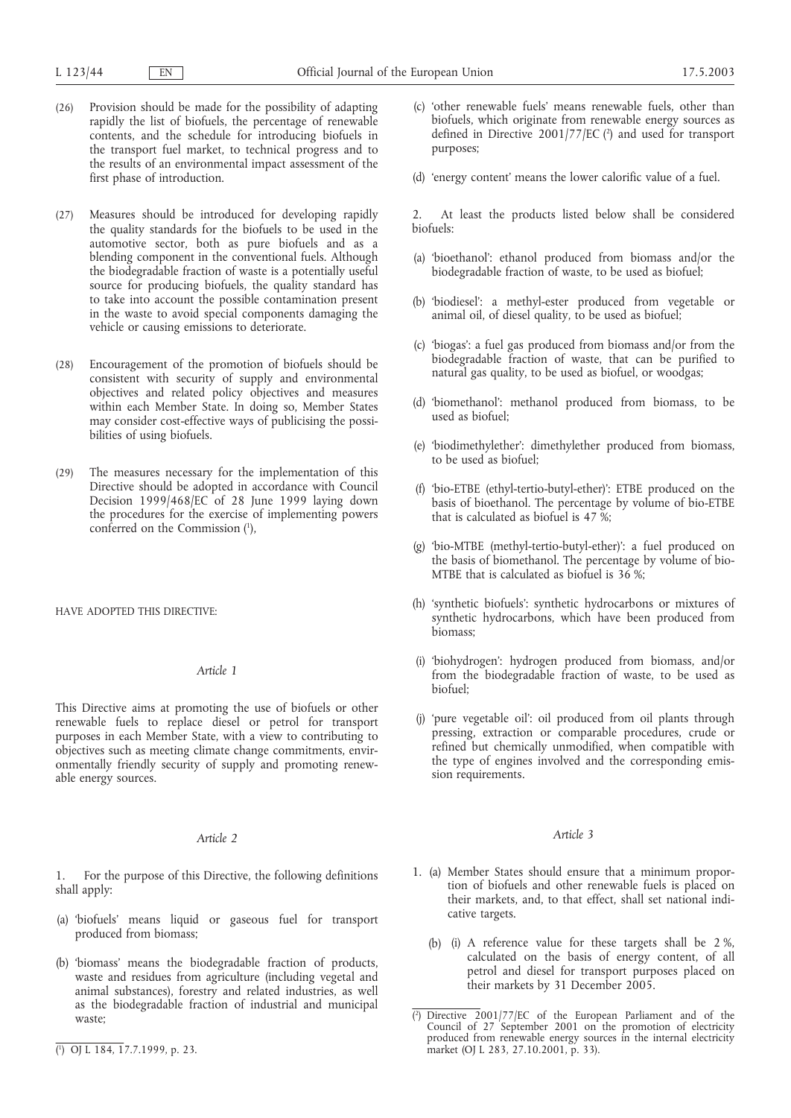- (26) Provision should be made for the possibility of adapting rapidly the list of biofuels, the percentage of renewable contents, and the schedule for introducing biofuels in the transport fuel market, to technical progress and to the results of an environmental impact assessment of the first phase of introduction.
- (27) Measures should be introduced for developing rapidly the quality standards for the biofuels to be used in the automotive sector, both as pure biofuels and as a blending component in the conventional fuels. Although the biodegradable fraction of waste is a potentially useful source for producing biofuels, the quality standard has to take into account the possible contamination present in the waste to avoid special components damaging the vehicle or causing emissions to deteriorate.
- (28) Encouragement of the promotion of biofuels should be consistent with security of supply and environmental objectives and related policy objectives and measures within each Member State. In doing so, Member States may consider cost-effective ways of publicising the possibilities of using biofuels.
- (29) The measures necessary for the implementation of this Directive should be adopted in accordance with Council Decision 1999/468/EC of 28 June 1999 laying down the procedures for the exercise of implementing powers conferred on the Commission (1 ),

## HAVE ADOPTED THIS DIRECTIVE:

### *Article 1*

This Directive aims at promoting the use of biofuels or other renewable fuels to replace diesel or petrol for transport purposes in each Member State, with a view to contributing to objectives such as meeting climate change commitments, environmentally friendly security of supply and promoting renewable energy sources.

## *Article 2*

1. For the purpose of this Directive, the following definitions shall apply:

- (a) 'biofuels' means liquid or gaseous fuel for transport produced from biomass;
- (b) 'biomass' means the biodegradable fraction of products, waste and residues from agriculture (including vegetal and animal substances), forestry and related industries, as well as the biodegradable fraction of industrial and municipal waste;
- ( 1 ) OJ L 184, 17.7.1999, p. 23.
- (c) 'other renewable fuels' means renewable fuels, other than biofuels, which originate from renewable energy sources as defined in Directive  $2001/77$ /EC ( $2$ ) and used for transport purposes;
- (d) 'energy content' means the lower calorific value of a fuel.

2. At least the products listed below shall be considered biofuels:

- (a) 'bioethanol': ethanol produced from biomass and/or the biodegradable fraction of waste, to be used as biofuel;
- (b) 'biodiesel': a methyl-ester produced from vegetable or animal oil, of diesel quality, to be used as biofuel;
- (c) 'biogas': a fuel gas produced from biomass and/or from the biodegradable fraction of waste, that can be purified to natural gas quality, to be used as biofuel, or woodgas;
- (d) 'biomethanol': methanol produced from biomass, to be used as biofuel;
- (e) 'biodimethylether': dimethylether produced from biomass, to be used as biofuel;
- (f) 'bio-ETBE (ethyl-tertio-butyl-ether)': ETBE produced on the basis of bioethanol. The percentage by volume of bio-ETBE that is calculated as biofuel is 47 %;
- (g) 'bio-MTBE (methyl-tertio-butyl-ether)': a fuel produced on the basis of biomethanol. The percentage by volume of bio-MTBE that is calculated as biofuel is  $36\%$ ;
- (h) 'synthetic biofuels': synthetic hydrocarbons or mixtures of synthetic hydrocarbons, which have been produced from biomass;
- (i) 'biohydrogen': hydrogen produced from biomass, and/or from the biodegradable fraction of waste, to be used as biofuel;
- (j) 'pure vegetable oil': oil produced from oil plants through pressing, extraction or comparable procedures, crude or refined but chemically unmodified, when compatible with the type of engines involved and the corresponding emission requirements.

# *Article 3*

- 1. (a) Member States should ensure that a minimum proportion of biofuels and other renewable fuels is placed on their markets, and, to that effect, shall set national indicative targets.
	- (b) (i) A reference value for these targets shall be 2 %, calculated on the basis of energy content, of all petrol and diesel for transport purposes placed on their markets by 31 December 2005.

<sup>(</sup> 2 ) Directive 2001/77/EC of the European Parliament and of the Council of 27 September 2001 on the promotion of electricity produced from renewable energy sources in the internal electricity market (OJ L 283, 27.10.2001, p. 33).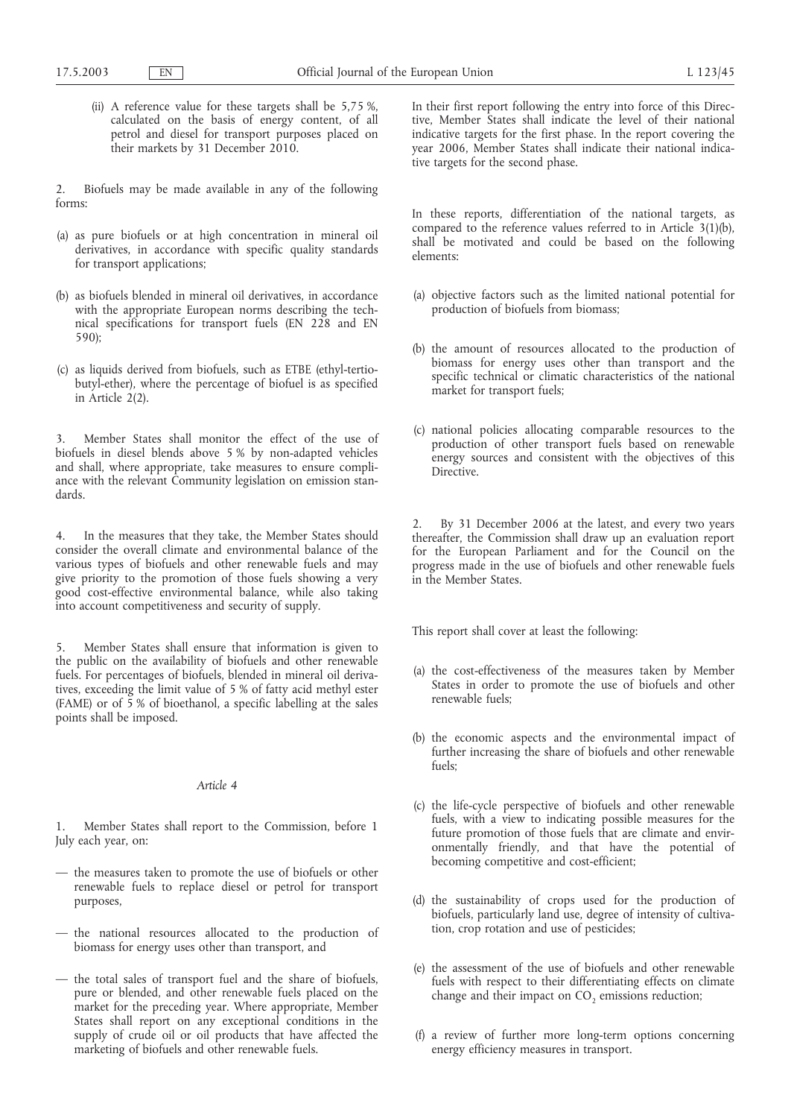(ii) A reference value for these targets shall be 5,75 %, calculated on the basis of energy content, of all petrol and diesel for transport purposes placed on their markets by 31 December 2010.

2. Biofuels may be made available in any of the following forms:

- (a) as pure biofuels or at high concentration in mineral oil derivatives, in accordance with specific quality standards for transport applications;
- (b) as biofuels blended in mineral oil derivatives, in accordance with the appropriate European norms describing the technical specifications for transport fuels (EN 228 and EN 590);
- (c) as liquids derived from biofuels, such as ETBE (ethyl-tertiobutyl-ether), where the percentage of biofuel is as specified in Article 2(2).

3. Member States shall monitor the effect of the use of biofuels in diesel blends above 5 % by non-adapted vehicles and shall, where appropriate, take measures to ensure compliance with the relevant Community legislation on emission standards.

4. In the measures that they take, the Member States should consider the overall climate and environmental balance of the various types of biofuels and other renewable fuels and may give priority to the promotion of those fuels showing a very good cost-effective environmental balance, while also taking into account competitiveness and security of supply.

5. Member States shall ensure that information is given to the public on the availability of biofuels and other renewable fuels. For percentages of biofuels, blended in mineral oil derivatives, exceeding the limit value of 5 % of fatty acid methyl ester (FAME) or of 5 % of bioethanol, a specific labelling at the sales points shall be imposed.

#### *Article 4*

Member States shall report to the Commission, before 1 July each year, on:

- the measures taken to promote the use of biofuels or other renewable fuels to replace diesel or petrol for transport purposes,
- the national resources allocated to the production of biomass for energy uses other than transport, and
- the total sales of transport fuel and the share of biofuels, pure or blended, and other renewable fuels placed on the market for the preceding year. Where appropriate, Member States shall report on any exceptional conditions in the supply of crude oil or oil products that have affected the marketing of biofuels and other renewable fuels.

In their first report following the entry into force of this Directive, Member States shall indicate the level of their national indicative targets for the first phase. In the report covering the year 2006, Member States shall indicate their national indicative targets for the second phase.

In these reports, differentiation of the national targets, as compared to the reference values referred to in Article 3(1)(b), shall be motivated and could be based on the following elements:

- (a) objective factors such as the limited national potential for production of biofuels from biomass;
- (b) the amount of resources allocated to the production of biomass for energy uses other than transport and the specific technical or climatic characteristics of the national market for transport fuels;
- (c) national policies allocating comparable resources to the production of other transport fuels based on renewable energy sources and consistent with the objectives of this Directive.

2. By 31 December 2006 at the latest, and every two years thereafter, the Commission shall draw up an evaluation report for the European Parliament and for the Council on the progress made in the use of biofuels and other renewable fuels in the Member States.

This report shall cover at least the following:

- (a) the cost-effectiveness of the measures taken by Member States in order to promote the use of biofuels and other renewable fuels;
- (b) the economic aspects and the environmental impact of further increasing the share of biofuels and other renewable fuels;
- (c) the life-cycle perspective of biofuels and other renewable fuels, with a view to indicating possible measures for the future promotion of those fuels that are climate and environmentally friendly, and that have the potential of becoming competitive and cost-efficient;
- (d) the sustainability of crops used for the production of biofuels, particularly land use, degree of intensity of cultivation, crop rotation and use of pesticides;
- (e) the assessment of the use of biofuels and other renewable fuels with respect to their differentiating effects on climate change and their impact on  $CO<sub>2</sub>$  emissions reduction;
- (f) a review of further more long-term options concerning energy efficiency measures in transport.